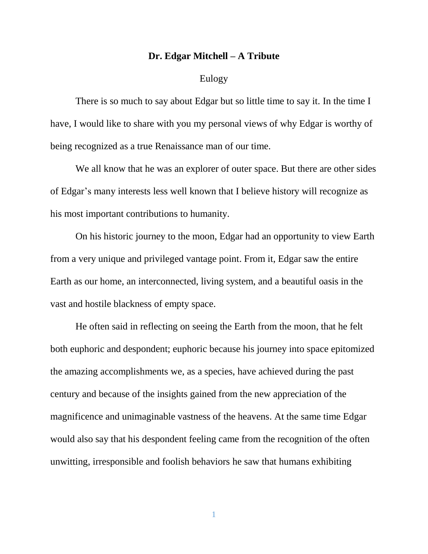## **Dr. Edgar Mitchell – A Tribute**

## Eulogy

There is so much to say about Edgar but so little time to say it. In the time I have, I would like to share with you my personal views of why Edgar is worthy of being recognized as a true Renaissance man of our time.

We all know that he was an explorer of outer space. But there are other sides of Edgar's many interests less well known that I believe history will recognize as his most important contributions to humanity.

On his historic journey to the moon, Edgar had an opportunity to view Earth from a very unique and privileged vantage point. From it, Edgar saw the entire Earth as our home, an interconnected, living system, and a beautiful oasis in the vast and hostile blackness of empty space.

He often said in reflecting on seeing the Earth from the moon, that he felt both euphoric and despondent; euphoric because his journey into space epitomized the amazing accomplishments we, as a species, have achieved during the past century and because of the insights gained from the new appreciation of the magnificence and unimaginable vastness of the heavens. At the same time Edgar would also say that his despondent feeling came from the recognition of the often unwitting, irresponsible and foolish behaviors he saw that humans exhibiting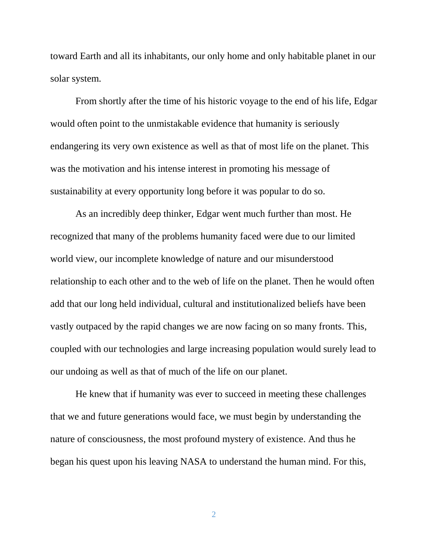toward Earth and all its inhabitants, our only home and only habitable planet in our solar system.

From shortly after the time of his historic voyage to the end of his life, Edgar would often point to the unmistakable evidence that humanity is seriously endangering its very own existence as well as that of most life on the planet. This was the motivation and his intense interest in promoting his message of sustainability at every opportunity long before it was popular to do so.

As an incredibly deep thinker, Edgar went much further than most. He recognized that many of the problems humanity faced were due to our limited world view, our incomplete knowledge of nature and our misunderstood relationship to each other and to the web of life on the planet. Then he would often add that our long held individual, cultural and institutionalized beliefs have been vastly outpaced by the rapid changes we are now facing on so many fronts. This, coupled with our technologies and large increasing population would surely lead to our undoing as well as that of much of the life on our planet.

He knew that if humanity was ever to succeed in meeting these challenges that we and future generations would face, we must begin by understanding the nature of consciousness, the most profound mystery of existence. And thus he began his quest upon his leaving NASA to understand the human mind. For this,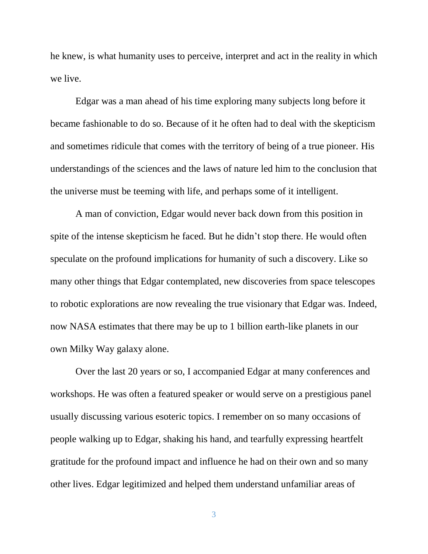he knew, is what humanity uses to perceive, interpret and act in the reality in which we live.

Edgar was a man ahead of his time exploring many subjects long before it became fashionable to do so. Because of it he often had to deal with the skepticism and sometimes ridicule that comes with the territory of being of a true pioneer. His understandings of the sciences and the laws of nature led him to the conclusion that the universe must be teeming with life, and perhaps some of it intelligent.

A man of conviction, Edgar would never back down from this position in spite of the intense skepticism he faced. But he didn't stop there. He would often speculate on the profound implications for humanity of such a discovery. Like so many other things that Edgar contemplated, new discoveries from space telescopes to robotic explorations are now revealing the true visionary that Edgar was. Indeed, now NASA estimates that there may be up to 1 billion earth-like planets in our own Milky Way galaxy alone.

Over the last 20 years or so, I accompanied Edgar at many conferences and workshops. He was often a featured speaker or would serve on a prestigious panel usually discussing various esoteric topics. I remember on so many occasions of people walking up to Edgar, shaking his hand, and tearfully expressing heartfelt gratitude for the profound impact and influence he had on their own and so many other lives. Edgar legitimized and helped them understand unfamiliar areas of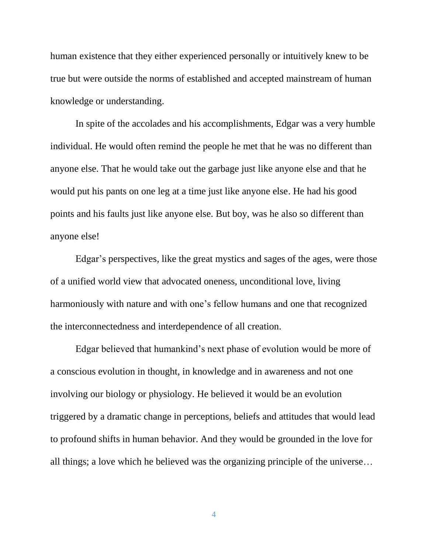human existence that they either experienced personally or intuitively knew to be true but were outside the norms of established and accepted mainstream of human knowledge or understanding.

In spite of the accolades and his accomplishments, Edgar was a very humble individual. He would often remind the people he met that he was no different than anyone else. That he would take out the garbage just like anyone else and that he would put his pants on one leg at a time just like anyone else. He had his good points and his faults just like anyone else. But boy, was he also so different than anyone else!

Edgar's perspectives, like the great mystics and sages of the ages, were those of a unified world view that advocated oneness, unconditional love, living harmoniously with nature and with one's fellow humans and one that recognized the interconnectedness and interdependence of all creation.

Edgar believed that humankind's next phase of evolution would be more of a conscious evolution in thought, in knowledge and in awareness and not one involving our biology or physiology. He believed it would be an evolution triggered by a dramatic change in perceptions, beliefs and attitudes that would lead to profound shifts in human behavior. And they would be grounded in the love for all things; a love which he believed was the organizing principle of the universe…